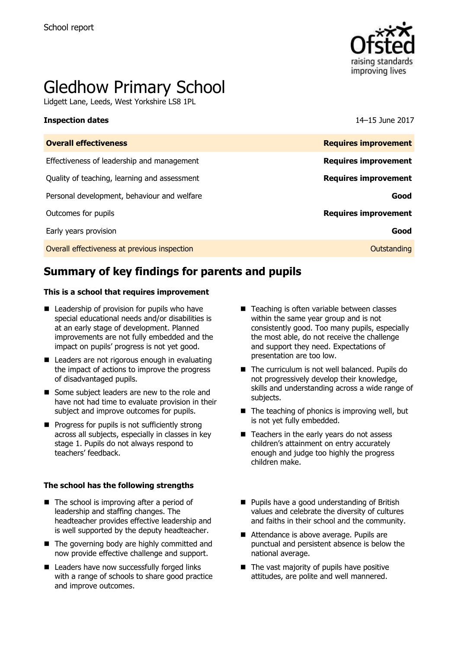

# Gledhow Primary School

Lidgett Lane, Leeds, West Yorkshire LS8 1PL

#### **Inspection dates** 14–15 June 2017

| <b>Overall effectiveness</b>                 | <b>Requires improvement</b> |
|----------------------------------------------|-----------------------------|
| Effectiveness of leadership and management   | <b>Requires improvement</b> |
| Quality of teaching, learning and assessment | <b>Requires improvement</b> |
| Personal development, behaviour and welfare  | Good                        |
| Outcomes for pupils                          | <b>Requires improvement</b> |
| Early years provision                        | Good                        |
| Overall effectiveness at previous inspection | Outstanding                 |
|                                              |                             |

# **Summary of key findings for parents and pupils**

#### **This is a school that requires improvement**

- Leadership of provision for pupils who have special educational needs and/or disabilities is at an early stage of development. Planned improvements are not fully embedded and the impact on pupils' progress is not yet good.
- Leaders are not rigorous enough in evaluating the impact of actions to improve the progress of disadvantaged pupils.
- Some subject leaders are new to the role and have not had time to evaluate provision in their subject and improve outcomes for pupils.
- $\blacksquare$  Progress for pupils is not sufficiently strong across all subjects, especially in classes in key stage 1. Pupils do not always respond to teachers' feedback.

#### **The school has the following strengths**

- $\blacksquare$  The school is improving after a period of leadership and staffing changes. The headteacher provides effective leadership and is well supported by the deputy headteacher.
- The governing body are highly committed and now provide effective challenge and support.
- Leaders have now successfully forged links with a range of schools to share good practice and improve outcomes.
- Teaching is often variable between classes within the same year group and is not consistently good. Too many pupils, especially the most able, do not receive the challenge and support they need. Expectations of presentation are too low.
- The curriculum is not well balanced. Pupils do not progressively develop their knowledge, skills and understanding across a wide range of subjects.
- $\blacksquare$  The teaching of phonics is improving well, but is not yet fully embedded.
- Teachers in the early years do not assess children's attainment on entry accurately enough and judge too highly the progress children make.
- **Pupils have a good understanding of British** values and celebrate the diversity of cultures and faiths in their school and the community.
- Attendance is above average. Pupils are punctual and persistent absence is below the national average.
- $\blacksquare$  The vast majority of pupils have positive attitudes, are polite and well mannered.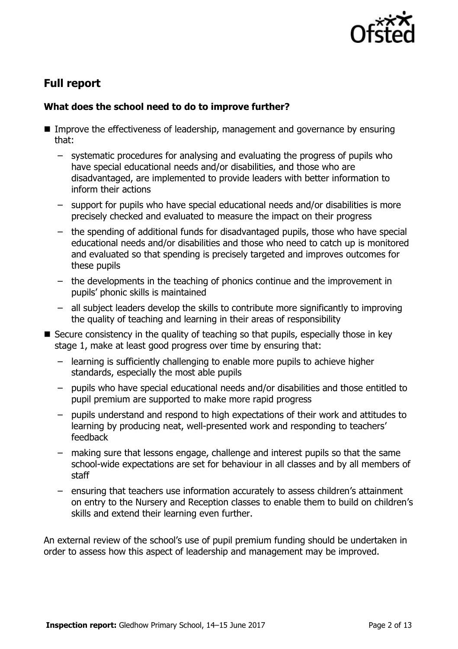

# **Full report**

### **What does the school need to do to improve further?**

- Improve the effectiveness of leadership, management and governance by ensuring that:
	- systematic procedures for analysing and evaluating the progress of pupils who have special educational needs and/or disabilities, and those who are disadvantaged, are implemented to provide leaders with better information to inform their actions
	- support for pupils who have special educational needs and/or disabilities is more precisely checked and evaluated to measure the impact on their progress
	- the spending of additional funds for disadvantaged pupils, those who have special educational needs and/or disabilities and those who need to catch up is monitored and evaluated so that spending is precisely targeted and improves outcomes for these pupils
	- the developments in the teaching of phonics continue and the improvement in pupils' phonic skills is maintained
	- all subject leaders develop the skills to contribute more significantly to improving the quality of teaching and learning in their areas of responsibility
- $\blacksquare$  Secure consistency in the quality of teaching so that pupils, especially those in key stage 1, make at least good progress over time by ensuring that:
	- learning is sufficiently challenging to enable more pupils to achieve higher standards, especially the most able pupils
	- pupils who have special educational needs and/or disabilities and those entitled to pupil premium are supported to make more rapid progress
	- pupils understand and respond to high expectations of their work and attitudes to learning by producing neat, well-presented work and responding to teachers' feedback
	- making sure that lessons engage, challenge and interest pupils so that the same school-wide expectations are set for behaviour in all classes and by all members of staff
	- ensuring that teachers use information accurately to assess children's attainment on entry to the Nursery and Reception classes to enable them to build on children's skills and extend their learning even further.

An external review of the school's use of pupil premium funding should be undertaken in order to assess how this aspect of leadership and management may be improved.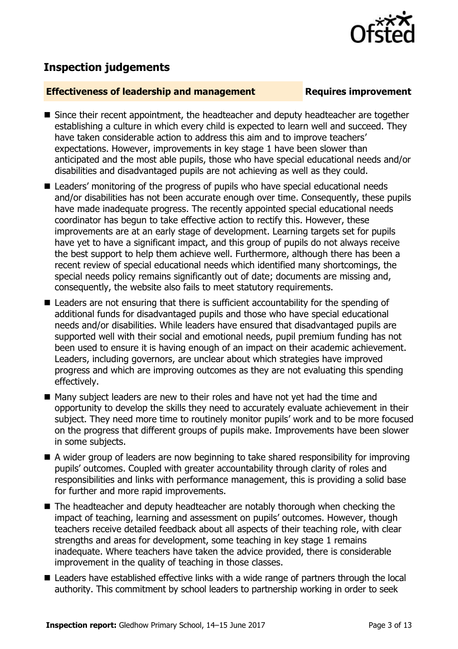

## **Inspection judgements**

#### **Effectiveness of leadership and management Requires improvement**

- Since their recent appointment, the headteacher and deputy headteacher are together establishing a culture in which every child is expected to learn well and succeed. They have taken considerable action to address this aim and to improve teachers' expectations. However, improvements in key stage 1 have been slower than anticipated and the most able pupils, those who have special educational needs and/or disabilities and disadvantaged pupils are not achieving as well as they could.
- Leaders' monitoring of the progress of pupils who have special educational needs and/or disabilities has not been accurate enough over time. Consequently, these pupils have made inadequate progress. The recently appointed special educational needs coordinator has begun to take effective action to rectify this. However, these improvements are at an early stage of development. Learning targets set for pupils have yet to have a significant impact, and this group of pupils do not always receive the best support to help them achieve well. Furthermore, although there has been a recent review of special educational needs which identified many shortcomings, the special needs policy remains significantly out of date; documents are missing and, consequently, the website also fails to meet statutory requirements.
- Leaders are not ensuring that there is sufficient accountability for the spending of additional funds for disadvantaged pupils and those who have special educational needs and/or disabilities. While leaders have ensured that disadvantaged pupils are supported well with their social and emotional needs, pupil premium funding has not been used to ensure it is having enough of an impact on their academic achievement. Leaders, including governors, are unclear about which strategies have improved progress and which are improving outcomes as they are not evaluating this spending effectively.
- Many subject leaders are new to their roles and have not yet had the time and opportunity to develop the skills they need to accurately evaluate achievement in their subject. They need more time to routinely monitor pupils' work and to be more focused on the progress that different groups of pupils make. Improvements have been slower in some subjects.
- A wider group of leaders are now beginning to take shared responsibility for improving pupils' outcomes. Coupled with greater accountability through clarity of roles and responsibilities and links with performance management, this is providing a solid base for further and more rapid improvements.
- The headteacher and deputy headteacher are notably thorough when checking the impact of teaching, learning and assessment on pupils' outcomes. However, though teachers receive detailed feedback about all aspects of their teaching role, with clear strengths and areas for development, some teaching in key stage 1 remains inadequate. Where teachers have taken the advice provided, there is considerable improvement in the quality of teaching in those classes.
- Leaders have established effective links with a wide range of partners through the local authority. This commitment by school leaders to partnership working in order to seek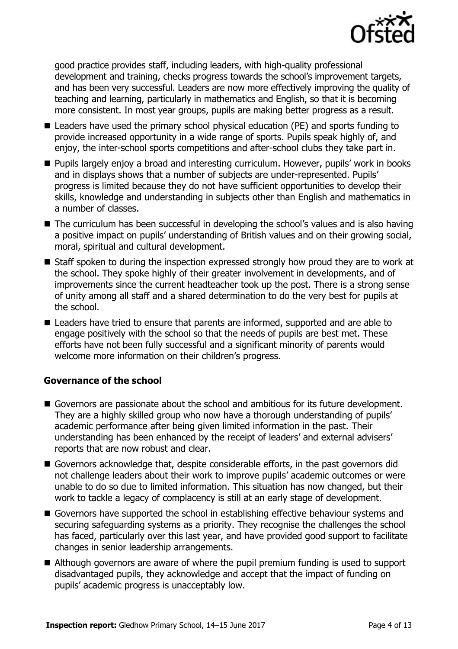

good practice provides staff, including leaders, with high-quality professional development and training, checks progress towards the school's improvement targets, and has been very successful. Leaders are now more effectively improving the quality of teaching and learning, particularly in mathematics and English, so that it is becoming more consistent. In most year groups, pupils are making better progress as a result.

- Leaders have used the primary school physical education (PE) and sports funding to provide increased opportunity in a wide range of sports. Pupils speak highly of, and enjoy, the inter-school sports competitions and after-school clubs they take part in.
- **Pupils largely enjoy a broad and interesting curriculum. However, pupils' work in books** and in displays shows that a number of subjects are under-represented. Pupils' progress is limited because they do not have sufficient opportunities to develop their skills, knowledge and understanding in subjects other than English and mathematics in a number of classes.
- The curriculum has been successful in developing the school's values and is also having a positive impact on pupils' understanding of British values and on their growing social, moral, spiritual and cultural development.
- Staff spoken to during the inspection expressed strongly how proud they are to work at the school. They spoke highly of their greater involvement in developments, and of improvements since the current headteacher took up the post. There is a strong sense of unity among all staff and a shared determination to do the very best for pupils at the school.
- Leaders have tried to ensure that parents are informed, supported and are able to engage positively with the school so that the needs of pupils are best met. These efforts have not been fully successful and a significant minority of parents would welcome more information on their children's progress.

### **Governance of the school**

- Governors are passionate about the school and ambitious for its future development. They are a highly skilled group who now have a thorough understanding of pupils' academic performance after being given limited information in the past. Their understanding has been enhanced by the receipt of leaders' and external advisers' reports that are now robust and clear.
- Governors acknowledge that, despite considerable efforts, in the past governors did not challenge leaders about their work to improve pupils' academic outcomes or were unable to do so due to limited information. This situation has now changed, but their work to tackle a legacy of complacency is still at an early stage of development.
- Governors have supported the school in establishing effective behaviour systems and securing safeguarding systems as a priority. They recognise the challenges the school has faced, particularly over this last year, and have provided good support to facilitate changes in senior leadership arrangements.
- Although governors are aware of where the pupil premium funding is used to support disadvantaged pupils, they acknowledge and accept that the impact of funding on pupils' academic progress is unacceptably low.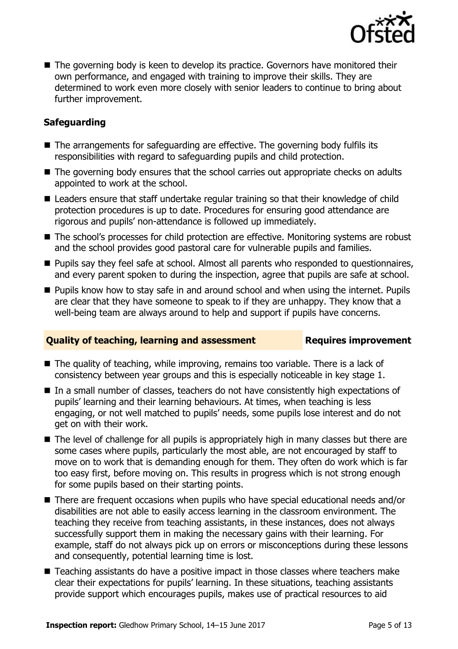

■ The governing body is keen to develop its practice. Governors have monitored their own performance, and engaged with training to improve their skills. They are determined to work even more closely with senior leaders to continue to bring about further improvement.

### **Safeguarding**

- The arrangements for safeguarding are effective. The governing body fulfils its responsibilities with regard to safeguarding pupils and child protection.
- The governing body ensures that the school carries out appropriate checks on adults appointed to work at the school.
- Leaders ensure that staff undertake regular training so that their knowledge of child protection procedures is up to date. Procedures for ensuring good attendance are rigorous and pupils' non-attendance is followed up immediately.
- The school's processes for child protection are effective. Monitoring systems are robust and the school provides good pastoral care for vulnerable pupils and families.
- **Pupils say they feel safe at school. Almost all parents who responded to questionnaires,** and every parent spoken to during the inspection, agree that pupils are safe at school.
- **Pupils know how to stay safe in and around school and when using the internet. Pupils** are clear that they have someone to speak to if they are unhappy. They know that a well-being team are always around to help and support if pupils have concerns.

### **Quality of teaching, learning and assessment Requires improvement**

- The quality of teaching, while improving, remains too variable. There is a lack of consistency between year groups and this is especially noticeable in key stage 1.
- In a small number of classes, teachers do not have consistently high expectations of pupils' learning and their learning behaviours. At times, when teaching is less engaging, or not well matched to pupils' needs, some pupils lose interest and do not get on with their work.
- The level of challenge for all pupils is appropriately high in many classes but there are some cases where pupils, particularly the most able, are not encouraged by staff to move on to work that is demanding enough for them. They often do work which is far too easy first, before moving on. This results in progress which is not strong enough for some pupils based on their starting points.
- There are frequent occasions when pupils who have special educational needs and/or disabilities are not able to easily access learning in the classroom environment. The teaching they receive from teaching assistants, in these instances, does not always successfully support them in making the necessary gains with their learning. For example, staff do not always pick up on errors or misconceptions during these lessons and consequently, potential learning time is lost.
- Teaching assistants do have a positive impact in those classes where teachers make clear their expectations for pupils' learning. In these situations, teaching assistants provide support which encourages pupils, makes use of practical resources to aid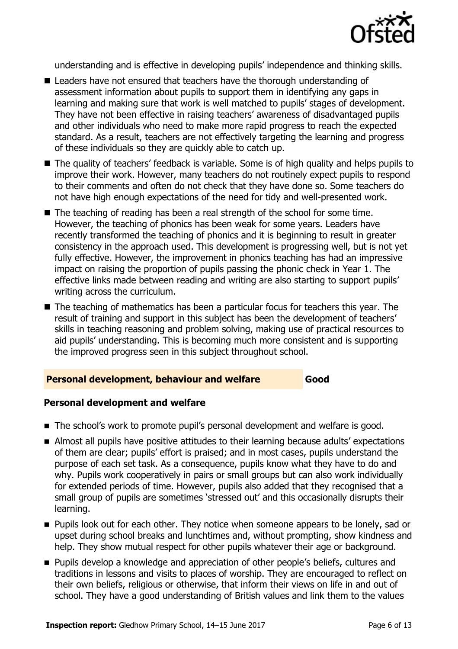

understanding and is effective in developing pupils' independence and thinking skills.

- Leaders have not ensured that teachers have the thorough understanding of assessment information about pupils to support them in identifying any gaps in learning and making sure that work is well matched to pupils' stages of development. They have not been effective in raising teachers' awareness of disadvantaged pupils and other individuals who need to make more rapid progress to reach the expected standard. As a result, teachers are not effectively targeting the learning and progress of these individuals so they are quickly able to catch up.
- The quality of teachers' feedback is variable. Some is of high quality and helps pupils to improve their work. However, many teachers do not routinely expect pupils to respond to their comments and often do not check that they have done so. Some teachers do not have high enough expectations of the need for tidy and well-presented work.
- The teaching of reading has been a real strength of the school for some time. However, the teaching of phonics has been weak for some years. Leaders have recently transformed the teaching of phonics and it is beginning to result in greater consistency in the approach used. This development is progressing well, but is not yet fully effective. However, the improvement in phonics teaching has had an impressive impact on raising the proportion of pupils passing the phonic check in Year 1. The effective links made between reading and writing are also starting to support pupils' writing across the curriculum.
- The teaching of mathematics has been a particular focus for teachers this year. The result of training and support in this subject has been the development of teachers' skills in teaching reasoning and problem solving, making use of practical resources to aid pupils' understanding. This is becoming much more consistent and is supporting the improved progress seen in this subject throughout school.

#### **Personal development, behaviour and welfare Good**

#### **Personal development and welfare**

- The school's work to promote pupil's personal development and welfare is good.
- Almost all pupils have positive attitudes to their learning because adults' expectations of them are clear; pupils' effort is praised; and in most cases, pupils understand the purpose of each set task. As a consequence, pupils know what they have to do and why. Pupils work cooperatively in pairs or small groups but can also work individually for extended periods of time. However, pupils also added that they recognised that a small group of pupils are sometimes 'stressed out' and this occasionally disrupts their learning.
- **Pupils look out for each other. They notice when someone appears to be lonely, sad or** upset during school breaks and lunchtimes and, without prompting, show kindness and help. They show mutual respect for other pupils whatever their age or background.
- **Pupils develop a knowledge and appreciation of other people's beliefs, cultures and** traditions in lessons and visits to places of worship. They are encouraged to reflect on their own beliefs, religious or otherwise, that inform their views on life in and out of school. They have a good understanding of British values and link them to the values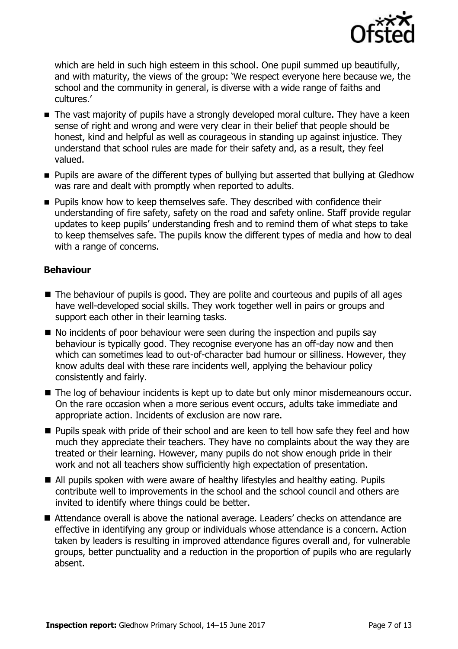

which are held in such high esteem in this school. One pupil summed up beautifully, and with maturity, the views of the group: 'We respect everyone here because we, the school and the community in general, is diverse with a wide range of faiths and cultures.'

- The vast majority of pupils have a strongly developed moral culture. They have a keen sense of right and wrong and were very clear in their belief that people should be honest, kind and helpful as well as courageous in standing up against injustice. They understand that school rules are made for their safety and, as a result, they feel valued.
- **Pupils are aware of the different types of bullying but asserted that bullying at Gledhow** was rare and dealt with promptly when reported to adults.
- **Pupils know how to keep themselves safe. They described with confidence their** understanding of fire safety, safety on the road and safety online. Staff provide regular updates to keep pupils' understanding fresh and to remind them of what steps to take to keep themselves safe. The pupils know the different types of media and how to deal with a range of concerns.

### **Behaviour**

- The behaviour of pupils is good. They are polite and courteous and pupils of all ages have well-developed social skills. They work together well in pairs or groups and support each other in their learning tasks.
- $\blacksquare$  No incidents of poor behaviour were seen during the inspection and pupils say behaviour is typically good. They recognise everyone has an off-day now and then which can sometimes lead to out-of-character bad humour or silliness. However, they know adults deal with these rare incidents well, applying the behaviour policy consistently and fairly.
- The log of behaviour incidents is kept up to date but only minor misdemeanours occur. On the rare occasion when a more serious event occurs, adults take immediate and appropriate action. Incidents of exclusion are now rare.
- **Pupils speak with pride of their school and are keen to tell how safe they feel and how** much they appreciate their teachers. They have no complaints about the way they are treated or their learning. However, many pupils do not show enough pride in their work and not all teachers show sufficiently high expectation of presentation.
- All pupils spoken with were aware of healthy lifestyles and healthy eating. Pupils contribute well to improvements in the school and the school council and others are invited to identify where things could be better.
- Attendance overall is above the national average. Leaders' checks on attendance are effective in identifying any group or individuals whose attendance is a concern. Action taken by leaders is resulting in improved attendance figures overall and, for vulnerable groups, better punctuality and a reduction in the proportion of pupils who are regularly absent.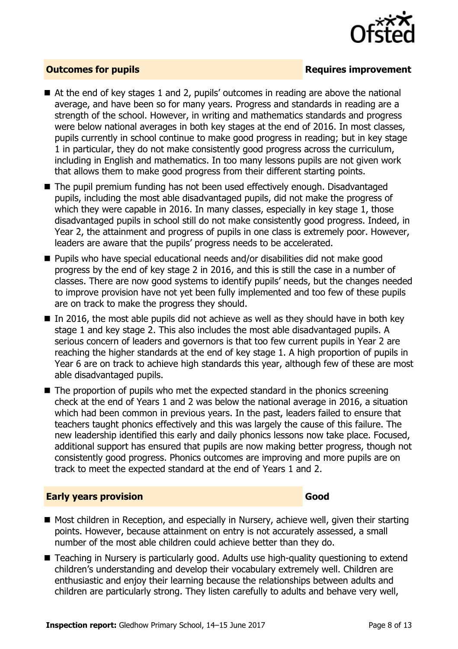

#### **Outcomes for pupils Requires improvement**

- At the end of key stages 1 and 2, pupils' outcomes in reading are above the national average, and have been so for many years. Progress and standards in reading are a strength of the school. However, in writing and mathematics standards and progress were below national averages in both key stages at the end of 2016. In most classes, pupils currently in school continue to make good progress in reading; but in key stage 1 in particular, they do not make consistently good progress across the curriculum, including in English and mathematics. In too many lessons pupils are not given work that allows them to make good progress from their different starting points.
- The pupil premium funding has not been used effectively enough. Disadvantaged pupils, including the most able disadvantaged pupils, did not make the progress of which they were capable in 2016. In many classes, especially in key stage 1, those disadvantaged pupils in school still do not make consistently good progress. Indeed, in Year 2, the attainment and progress of pupils in one class is extremely poor. However, leaders are aware that the pupils' progress needs to be accelerated.
- Pupils who have special educational needs and/or disabilities did not make good progress by the end of key stage 2 in 2016, and this is still the case in a number of classes. There are now good systems to identify pupils' needs, but the changes needed to improve provision have not yet been fully implemented and too few of these pupils are on track to make the progress they should.
- $\blacksquare$  In 2016, the most able pupils did not achieve as well as they should have in both key stage 1 and key stage 2. This also includes the most able disadvantaged pupils. A serious concern of leaders and governors is that too few current pupils in Year 2 are reaching the higher standards at the end of key stage 1. A high proportion of pupils in Year 6 are on track to achieve high standards this year, although few of these are most able disadvantaged pupils.
- $\blacksquare$  The proportion of pupils who met the expected standard in the phonics screening check at the end of Years 1 and 2 was below the national average in 2016, a situation which had been common in previous years. In the past, leaders failed to ensure that teachers taught phonics effectively and this was largely the cause of this failure. The new leadership identified this early and daily phonics lessons now take place. Focused, additional support has ensured that pupils are now making better progress, though not consistently good progress. Phonics outcomes are improving and more pupils are on track to meet the expected standard at the end of Years 1 and 2.

#### **Early years provision Good Good**

- Most children in Reception, and especially in Nursery, achieve well, given their starting points. However, because attainment on entry is not accurately assessed, a small number of the most able children could achieve better than they do.
- Teaching in Nursery is particularly good. Adults use high-quality questioning to extend children's understanding and develop their vocabulary extremely well. Children are enthusiastic and enjoy their learning because the relationships between adults and children are particularly strong. They listen carefully to adults and behave very well,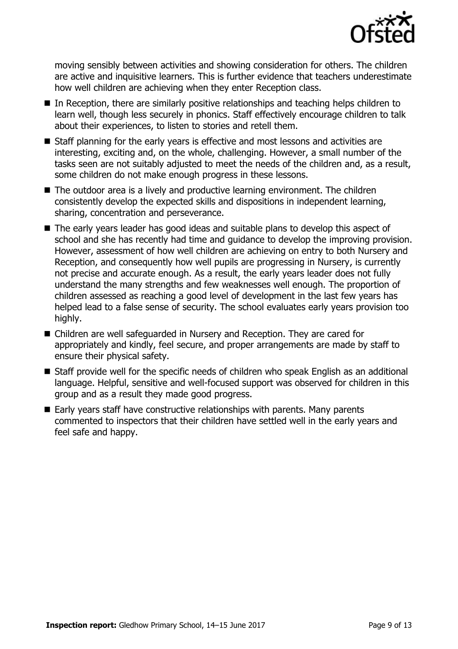

moving sensibly between activities and showing consideration for others. The children are active and inquisitive learners. This is further evidence that teachers underestimate how well children are achieving when they enter Reception class.

- In Reception, there are similarly positive relationships and teaching helps children to learn well, though less securely in phonics. Staff effectively encourage children to talk about their experiences, to listen to stories and retell them.
- Staff planning for the early vears is effective and most lessons and activities are interesting, exciting and, on the whole, challenging. However, a small number of the tasks seen are not suitably adjusted to meet the needs of the children and, as a result, some children do not make enough progress in these lessons.
- The outdoor area is a lively and productive learning environment. The children consistently develop the expected skills and dispositions in independent learning, sharing, concentration and perseverance.
- The early years leader has good ideas and suitable plans to develop this aspect of school and she has recently had time and guidance to develop the improving provision. However, assessment of how well children are achieving on entry to both Nursery and Reception, and consequently how well pupils are progressing in Nursery, is currently not precise and accurate enough. As a result, the early years leader does not fully understand the many strengths and few weaknesses well enough. The proportion of children assessed as reaching a good level of development in the last few years has helped lead to a false sense of security. The school evaluates early years provision too highly.
- Children are well safeguarded in Nursery and Reception. They are cared for appropriately and kindly, feel secure, and proper arrangements are made by staff to ensure their physical safety.
- Staff provide well for the specific needs of children who speak English as an additional language. Helpful, sensitive and well-focused support was observed for children in this group and as a result they made good progress.
- Early years staff have constructive relationships with parents. Many parents commented to inspectors that their children have settled well in the early years and feel safe and happy.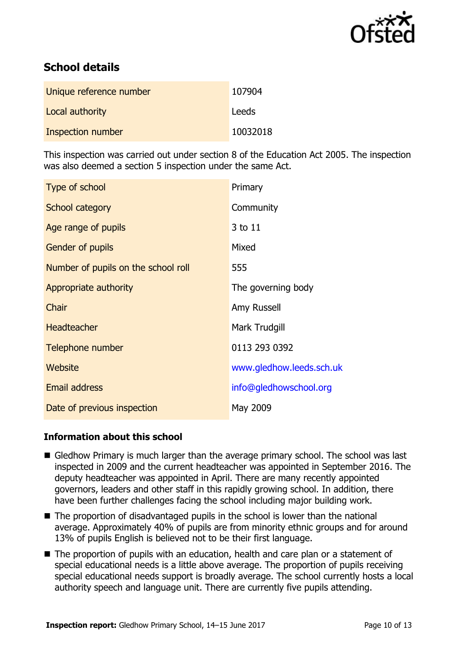

# **School details**

| Unique reference number | 107904   |
|-------------------------|----------|
| Local authority         | Leeds    |
| Inspection number       | 10032018 |

This inspection was carried out under section 8 of the Education Act 2005. The inspection was also deemed a section 5 inspection under the same Act.

| Type of school                      | Primary                  |
|-------------------------------------|--------------------------|
| School category                     | Community                |
| Age range of pupils                 | 3 to 11                  |
| <b>Gender of pupils</b>             | Mixed                    |
| Number of pupils on the school roll | 555                      |
| Appropriate authority               | The governing body       |
| Chair                               | Amy Russell              |
| <b>Headteacher</b>                  | Mark Trudgill            |
| Telephone number                    | 0113 293 0392            |
| Website                             | www.gledhow.leeds.sch.uk |
| <b>Email address</b>                | info@gledhowschool.org   |
| Date of previous inspection         | May 2009                 |

### **Information about this school**

- Gledhow Primary is much larger than the average primary school. The school was last inspected in 2009 and the current headteacher was appointed in September 2016. The deputy headteacher was appointed in April. There are many recently appointed governors, leaders and other staff in this rapidly growing school. In addition, there have been further challenges facing the school including major building work.
- The proportion of disadvantaged pupils in the school is lower than the national average. Approximately 40% of pupils are from minority ethnic groups and for around 13% of pupils English is believed not to be their first language.
- The proportion of pupils with an education, health and care plan or a statement of special educational needs is a little above average. The proportion of pupils receiving special educational needs support is broadly average. The school currently hosts a local authority speech and language unit. There are currently five pupils attending.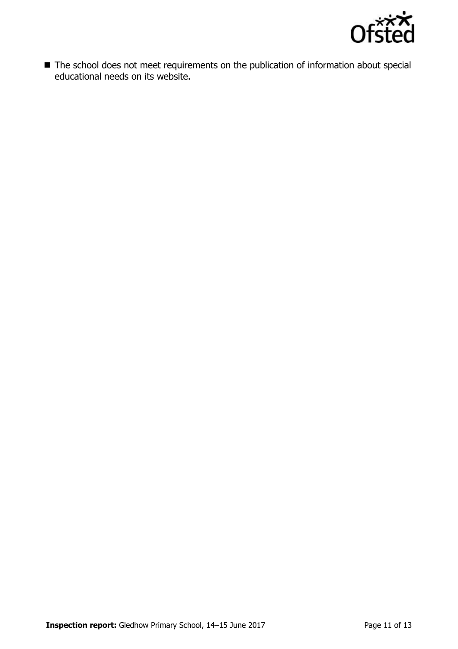

■ The school does not meet requirements on the publication of information about special educational needs on its website.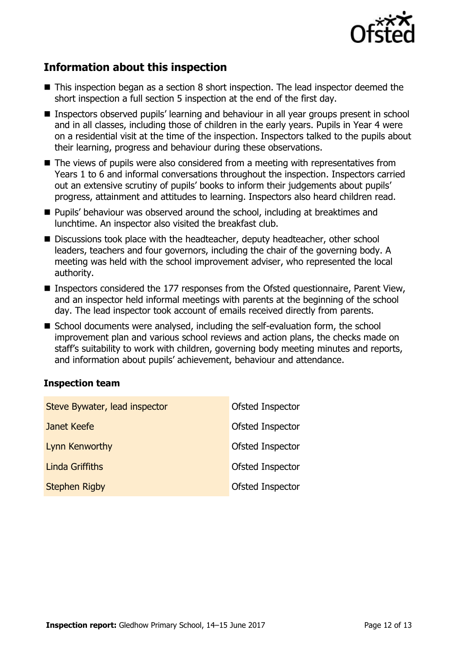

# **Information about this inspection**

- This inspection began as a section 8 short inspection. The lead inspector deemed the short inspection a full section 5 inspection at the end of the first day.
- Inspectors observed pupils' learning and behaviour in all year groups present in school and in all classes, including those of children in the early years. Pupils in Year 4 were on a residential visit at the time of the inspection. Inspectors talked to the pupils about their learning, progress and behaviour during these observations.
- The views of pupils were also considered from a meeting with representatives from Years 1 to 6 and informal conversations throughout the inspection. Inspectors carried out an extensive scrutiny of pupils' books to inform their judgements about pupils' progress, attainment and attitudes to learning. Inspectors also heard children read.
- **Pupils' behaviour was observed around the school, including at breaktimes and** lunchtime. An inspector also visited the breakfast club.
- Discussions took place with the headteacher, deputy headteacher, other school leaders, teachers and four governors, including the chair of the governing body. A meeting was held with the school improvement adviser, who represented the local authority.
- Inspectors considered the 177 responses from the Ofsted questionnaire, Parent View, and an inspector held informal meetings with parents at the beginning of the school day. The lead inspector took account of emails received directly from parents.
- School documents were analysed, including the self-evaluation form, the school improvement plan and various school reviews and action plans, the checks made on staff's suitability to work with children, governing body meeting minutes and reports, and information about pupils' achievement, behaviour and attendance.

#### **Inspection team**

| Steve Bywater, lead inspector | Ofsted Inspector |
|-------------------------------|------------------|
| Janet Keefe                   | Ofsted Inspector |
| Lynn Kenworthy                | Ofsted Inspector |
| <b>Linda Griffiths</b>        | Ofsted Inspector |
| <b>Stephen Rigby</b>          | Ofsted Inspector |